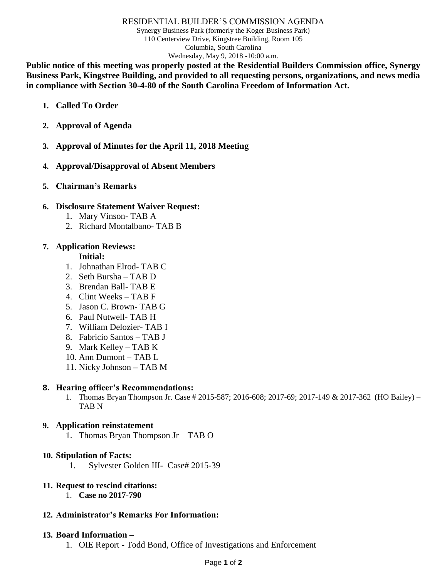#### RESIDENTIAL BUILDER'S COMMISSION AGENDA

Synergy Business Park (formerly the Koger Business Park) 110 Centerview Drive, Kingstree Building, Room 105 Columbia, South Carolina Wednesday, May 9, 2018 -10:00 a.m.

**Public notice of this meeting was properly posted at the Residential Builders Commission office, Synergy Business Park, Kingstree Building, and provided to all requesting persons, organizations, and news media in compliance with Section 30-4-80 of the South Carolina Freedom of Information Act.**

- **1. Called To Order**
- **2. Approval of Agenda**
- **3. Approval of Minutes for the April 11, 2018 Meeting**
- **4. Approval/Disapproval of Absent Members**
- **5. Chairman's Remarks**

#### **6. Disclosure Statement Waiver Request:**

- 1. Mary Vinson- TAB A
- 2. Richard Montalbano- TAB B

## **7. Application Reviews:**

**Initial:**

- 1. Johnathan Elrod- TAB C
- 2. Seth Bursha TAB D
- 3. Brendan Ball- TAB E
- 4. Clint Weeks TAB F
- 5. Jason C. Brown- TAB G
- 6. Paul Nutwell- TAB H
- 7. William Delozier- TAB I
- 8. Fabricio Santos TAB J
- 9. Mark Kelley TAB K
- 10. Ann Dumont TAB L
- 11. Nicky Johnson **–** TAB M

#### **8. Hearing officer's Recommendations:**

1. Thomas Bryan Thompson Jr. Case # 2015-587; 2016-608; 2017-69; 2017-149 & 2017-362 (HO Bailey) – TAB N

#### **9. Application reinstatement**

1. Thomas Bryan Thompson Jr – TAB O

#### **10. Stipulation of Facts:**

1. Sylvester Golden III- Case# 2015-39

#### **11. Request to rescind citations:**

1. **Case no 2017-790**

#### **12. Administrator's Remarks For Information:**

#### **13. Board Information –**

1. OIE Report - Todd Bond, Office of Investigations and Enforcement